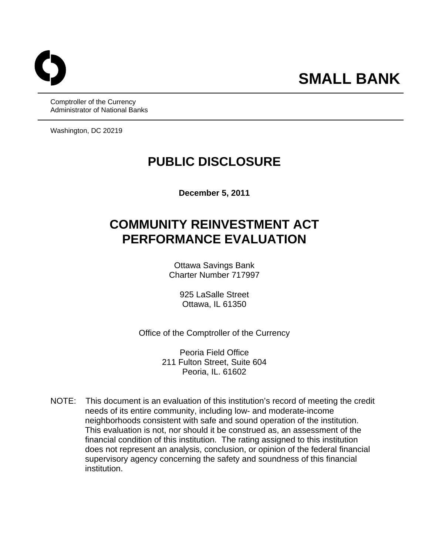Comptroller of the Currency Administrator of National Banks

Washington, DC 20219

# **PUBLIC DISCLOSURE**

**December 5, 2011** 

# **COMMUNITY REINVESTMENT ACT PERFORMANCE EVALUATION**

Ottawa Savings Bank Charter Number 717997

> 925 LaSalle Street Ottawa, IL 61350

Office of the Comptroller of the Currency

Peoria Field Office 211 Fulton Street, Suite 604 Peoria, IL. 61602

NOTE: This document is an evaluation of this institution's record of meeting the credit needs of its entire community, including low- and moderate-income neighborhoods consistent with safe and sound operation of the institution. This evaluation is not, nor should it be construed as, an assessment of the financial condition of this institution. The rating assigned to this institution does not represent an analysis, conclusion, or opinion of the federal financial supervisory agency concerning the safety and soundness of this financial institution.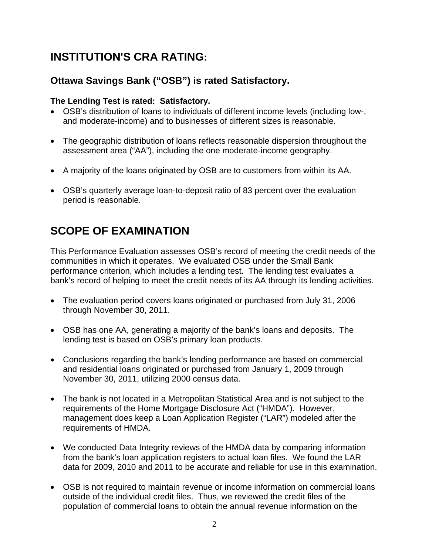# **INSTITUTION'S CRA RATING:**

### **Ottawa Savings Bank ("OSB") is rated Satisfactory.**

### **The Lending Test is rated: Satisfactory.**

- OSB's distribution of loans to individuals of different income levels (including low-, and moderate-income) and to businesses of different sizes is reasonable.
- The geographic distribution of loans reflects reasonable dispersion throughout the assessment area ("AA"), including the one moderate-income geography.
- A majority of the loans originated by OSB are to customers from within its AA.
- OSB's quarterly average loan-to-deposit ratio of 83 percent over the evaluation period is reasonable.

# **SCOPE OF EXAMINATION**

This Performance Evaluation assesses OSB's record of meeting the credit needs of the communities in which it operates. We evaluated OSB under the Small Bank performance criterion, which includes a lending test. The lending test evaluates a bank's record of helping to meet the credit needs of its AA through its lending activities.

- The evaluation period covers loans originated or purchased from July 31, 2006 through November 30, 2011.
- OSB has one AA, generating a majority of the bank's loans and deposits. The lending test is based on OSB's primary loan products.
- Conclusions regarding the bank's lending performance are based on commercial and residential loans originated or purchased from January 1, 2009 through November 30, 2011, utilizing 2000 census data.
- The bank is not located in a Metropolitan Statistical Area and is not subject to the requirements of the Home Mortgage Disclosure Act ("HMDA"). However, management does keep a Loan Application Register ("LAR") modeled after the requirements of HMDA.
- We conducted Data Integrity reviews of the HMDA data by comparing information from the bank's loan application registers to actual loan files. We found the LAR data for 2009, 2010 and 2011 to be accurate and reliable for use in this examination.
- OSB is not required to maintain revenue or income information on commercial loans outside of the individual credit files. Thus, we reviewed the credit files of the population of commercial loans to obtain the annual revenue information on the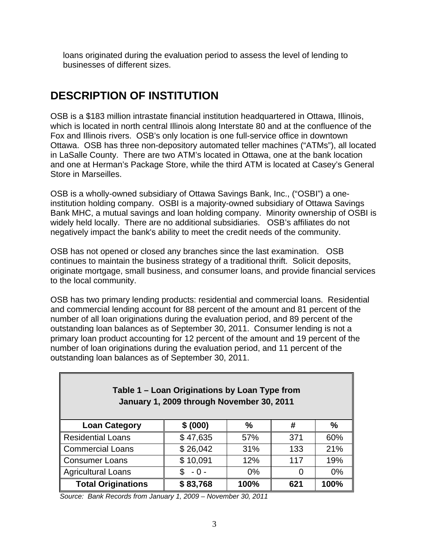loans originated during the evaluation period to assess the level of lending to businesses of different sizes.

# **DESCRIPTION OF INSTITUTION**

OSB is a \$183 million intrastate financial institution headquartered in Ottawa, Illinois, which is located in north central Illinois along Interstate 80 and at the confluence of the Fox and Illinois rivers. OSB's only location is one full-service office in downtown Ottawa. OSB has three non-depository automated teller machines ("ATMs"), all located in LaSalle County. There are two ATM's located in Ottawa, one at the bank location and one at Herman's Package Store, while the third ATM is located at Casey's General Store in Marseilles.

OSB is a wholly-owned subsidiary of Ottawa Savings Bank, Inc., ("OSBI") a oneinstitution holding company. OSBI is a majority-owned subsidiary of Ottawa Savings Bank MHC, a mutual savings and loan holding company. Minority ownership of OSBI is widely held locally. There are no additional subsidiaries. OSB's affiliates do not negatively impact the bank's ability to meet the credit needs of the community.

OSB has not opened or closed any branches since the last examination. OSB continues to maintain the business strategy of a traditional thrift. Solicit deposits, originate mortgage, small business, and consumer loans, and provide financial services to the local community.

OSB has two primary lending products: residential and commercial loans. Residential and commercial lending account for 88 percent of the amount and 81 percent of the number of all loan originations during the evaluation period, and 89 percent of the outstanding loan balances as of September 30, 2011. Consumer lending is not a primary loan product accounting for 12 percent of the amount and 19 percent of the number of loan originations during the evaluation period, and 11 percent of the outstanding loan balances as of September 30, 2011.

| Table 1 - Loan Originations by Loan Type from<br>January 1, 2009 through November 30, 2011 |                   |      |     |      |  |  |  |  |  |  |  |
|--------------------------------------------------------------------------------------------|-------------------|------|-----|------|--|--|--|--|--|--|--|
| <b>Loan Category</b>                                                                       | \$ (000)          | ℅    | #   | %    |  |  |  |  |  |  |  |
| <b>Residential Loans</b>                                                                   | \$47,635          | 57%  | 371 | 60%  |  |  |  |  |  |  |  |
| <b>Commercial Loans</b>                                                                    | \$26,042          | 31%  | 133 | 21%  |  |  |  |  |  |  |  |
| <b>Consumer Loans</b>                                                                      | \$10,091          | 12%  | 117 | 19%  |  |  |  |  |  |  |  |
| <b>Agricultural Loans</b>                                                                  | 0%<br>0%<br>$-0-$ |      |     |      |  |  |  |  |  |  |  |
| <b>Total Originations</b>                                                                  | \$83,768          | 100% | 621 | 100% |  |  |  |  |  |  |  |

*Source: Bank Records from January 1, 2009 – November 30, 2011*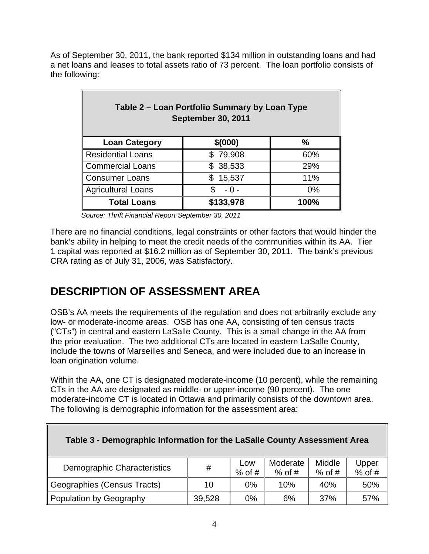As of September 30, 2011, the bank reported \$134 million in outstanding loans and had a net loans and leases to total assets ratio of 73 percent. The loan portfolio consists of the following:

| Table 2 – Loan Portfolio Summary by Loan Type<br><b>September 30, 2011</b> |                   |               |  |  |  |  |  |  |  |  |
|----------------------------------------------------------------------------|-------------------|---------------|--|--|--|--|--|--|--|--|
| <b>Loan Category</b>                                                       | \$(000)           | $\frac{0}{0}$ |  |  |  |  |  |  |  |  |
| <b>Residential Loans</b>                                                   | \$79,908          | 60%           |  |  |  |  |  |  |  |  |
| <b>Commercial Loans</b>                                                    | \$38,533          | 29%           |  |  |  |  |  |  |  |  |
| <b>Consumer Loans</b>                                                      | 15,537<br>\$      | 11%           |  |  |  |  |  |  |  |  |
| <b>Agricultural Loans</b>                                                  | 0%<br>S.<br>- 0 - |               |  |  |  |  |  |  |  |  |
| <b>Total Loans</b>                                                         | \$133,978         | 100%          |  |  |  |  |  |  |  |  |

 *Source: Thrift Financial Report September 30, 2011* 

There are no financial conditions, legal constraints or other factors that would hinder the bank's ability in helping to meet the credit needs of the communities within its AA. Tier 1 capital was reported at \$16.2 million as of September 30, 2011. The bank's previous CRA rating as of July 31, 2006, was Satisfactory.

# **DESCRIPTION OF ASSESSMENT AREA**

OSB's AA meets the requirements of the regulation and does not arbitrarily exclude any low- or moderate-income areas. OSB has one AA, consisting of ten census tracts ("CTs") in central and eastern LaSalle County. This is a small change in the AA from the prior evaluation. The two additional CTs are located in eastern LaSalle County, include the towns of Marseilles and Seneca, and were included due to an increase in loan origination volume.

Within the AA, one CT is designated moderate-income (10 percent), while the remaining CTs in the AA are designated as middle- or upper-income (90 percent). The one moderate-income CT is located in Ottawa and primarily consists of the downtown area. The following is demographic information for the assessment area:

| Table 3 - Demographic Information for the LaSalle County Assessment Area |        |                 |                      |                    |                   |  |  |  |
|--------------------------------------------------------------------------|--------|-----------------|----------------------|--------------------|-------------------|--|--|--|
| Demographic Characteristics                                              | #      | Low<br>$%$ of # | Moderate<br>$%$ of # | Middle<br>$%$ of # | Upper<br>$%$ of # |  |  |  |
| Geographies (Census Tracts)                                              | 10     | $0\%$           | 10%                  | 40%                | 50%               |  |  |  |
| Population by Geography                                                  | 39,528 | 0%              | 6%                   | 37%                | 57%               |  |  |  |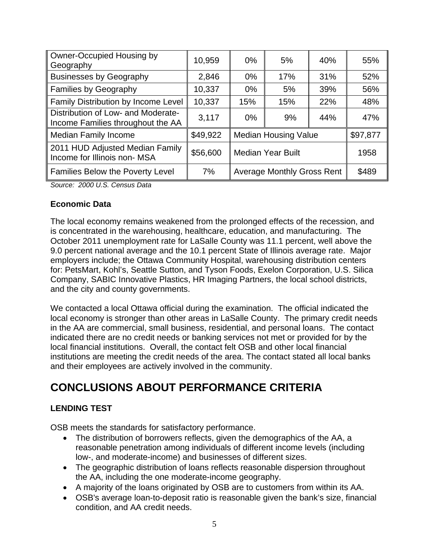| Owner-Occupied Housing by<br>Geography                                  | 10,959   | $0\%$                    | 5%                                | 40% | 55%      |
|-------------------------------------------------------------------------|----------|--------------------------|-----------------------------------|-----|----------|
| <b>Businesses by Geography</b>                                          | 2,846    | $0\%$                    | 17%                               | 31% | 52%      |
| <b>Families by Geography</b>                                            | 10,337   | $0\%$                    | 5%                                | 39% | 56%      |
| Family Distribution by Income Level                                     | 10,337   | 15%<br>15%<br>22%        |                                   | 48% |          |
| Distribution of Low- and Moderate-<br>Income Families throughout the AA | 3,117    | $0\%$                    | 9%                                | 44% | 47%      |
| <b>Median Family Income</b>                                             | \$49,922 |                          | <b>Median Housing Value</b>       |     | \$97,877 |
| 2011 HUD Adjusted Median Family<br>Income for Illinois non-MSA          | \$56,600 | <b>Median Year Built</b> |                                   |     | 1958     |
| <b>Families Below the Poverty Level</b>                                 | 7%       |                          | <b>Average Monthly Gross Rent</b> |     | \$489    |

*Source: 2000 U.S. Census Data* 

#### **Economic Data**

The local economy remains weakened from the prolonged effects of the recession, and is concentrated in the warehousing, healthcare, education, and manufacturing. The October 2011 unemployment rate for LaSalle County was 11.1 percent, well above the 9.0 percent national average and the 10.1 percent State of Illinois average rate. Major employers include; the Ottawa Community Hospital, warehousing distribution centers for: PetsMart, Kohl's, Seattle Sutton, and Tyson Foods, Exelon Corporation, U.S. Silica Company, SABIC Innovative Plastics, HR Imaging Partners, the local school districts, and the city and county governments.

We contacted a local Ottawa official during the examination. The official indicated the local economy is stronger than other areas in LaSalle County. The primary credit needs in the AA are commercial, small business, residential, and personal loans. The contact indicated there are no credit needs or banking services not met or provided for by the local financial institutions. Overall, the contact felt OSB and other local financial institutions are meeting the credit needs of the area. The contact stated all local banks and their employees are actively involved in the community.

# **CONCLUSIONS ABOUT PERFORMANCE CRITERIA**

#### **LENDING TEST**

OSB meets the standards for satisfactory performance.

- The distribution of borrowers reflects, given the demographics of the AA, a reasonable penetration among individuals of different income levels (including low-, and moderate-income) and businesses of different sizes.
- The geographic distribution of loans reflects reasonable dispersion throughout the AA, including the one moderate-income geography.
- A majority of the loans originated by OSB are to customers from within its AA.
- OSB's average loan-to-deposit ratio is reasonable given the bank's size, financial condition, and AA credit needs.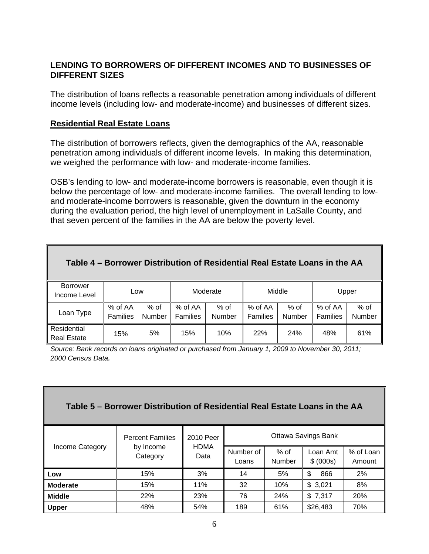#### **LENDING TO BORROWERS OF DIFFERENT INCOMES AND TO BUSINESSES OF DIFFERENT SIZES**

The distribution of loans reflects a reasonable penetration among individuals of different income levels (including low- and moderate-income) and businesses of different sizes.

#### **Residential Real Estate Loans**

The distribution of borrowers reflects, given the demographics of the AA, reasonable penetration among individuals of different income levels. In making this determination, we weighed the performance with low- and moderate-income families.

OSB's lending to low- and moderate-income borrowers is reasonable, even though it is below the percentage of low- and moderate-income families. The overall lending to lowand moderate-income borrowers is reasonable, given the downturn in the economy during the evaluation period, the high level of unemployment in LaSalle County, and that seven percent of the families in the AA are below the poverty level.

| Table 4 – Borrower Distribution of Residential Real Estate Loans in the AA |                            |                       |                                                  |     |                     |                  |                       |                         |  |
|----------------------------------------------------------------------------|----------------------------|-----------------------|--------------------------------------------------|-----|---------------------|------------------|-----------------------|-------------------------|--|
| <b>Borrower</b><br>Income Level                                            | Low                        |                       | Moderate                                         |     |                     | Middle           | Upper                 |                         |  |
| Loan Type                                                                  | % of AA<br><b>Families</b> | % of<br><b>Number</b> | $%$ of AA<br>$%$ of<br><b>Families</b><br>Number |     | % of AA<br>Families | $%$ of<br>Number | $%$ of AA<br>Families | $%$ of<br><b>Number</b> |  |
| Residential<br><b>Real Estate</b>                                          | 15%                        | 5%                    | 15%                                              | 10% | <b>22%</b>          | 24%              | 48%                   | 61%                     |  |

*Source: Bank records on loans originated or purchased from January 1, 2009 to November 30, 2011; 2000 Census Data.* 

| Table 5 – Borrower Distribution of Residential Real Estate Loans in the AA |                         |                     |                     |                         |                       |                     |  |  |  |  |  |
|----------------------------------------------------------------------------|-------------------------|---------------------|---------------------|-------------------------|-----------------------|---------------------|--|--|--|--|--|
|                                                                            | <b>Percent Families</b> | 2010 Peer           | Ottawa Savings Bank |                         |                       |                     |  |  |  |  |  |
| Income Category                                                            | by Income<br>Category   | <b>HDMA</b><br>Data | Number of<br>Loans  | $%$ of<br><b>Number</b> | Loan Amt<br>\$ (000s) | % of Loan<br>Amount |  |  |  |  |  |
| Low                                                                        | 15%                     | 3%                  | 14                  | 5%                      | \$<br>866             | 2%                  |  |  |  |  |  |
| <b>Moderate</b>                                                            | 15%                     | 11%                 | 32                  | 10%                     | \$3,021               | 8%                  |  |  |  |  |  |
| <b>Middle</b>                                                              | 22%                     | 23%                 | 76                  | 24%                     | \$7,317               | 20%                 |  |  |  |  |  |
| <b>Upper</b>                                                               | 48%                     | 54%                 | 189                 | 61%                     | \$26,483              | 70%                 |  |  |  |  |  |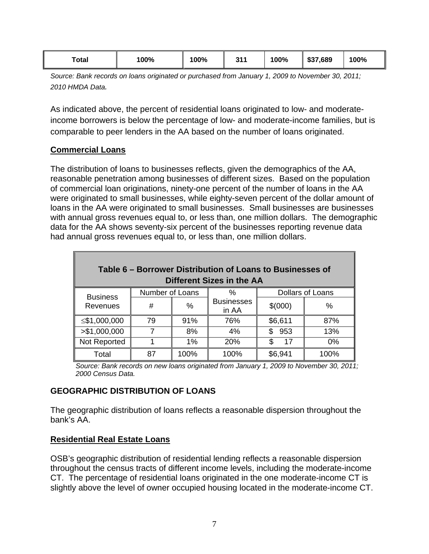| Total | 100% | 100% | 244<br>ບ<br>. . | 100% | \$37,689 | 100% |
|-------|------|------|-----------------|------|----------|------|
|-------|------|------|-----------------|------|----------|------|

*Source: Bank records on loans originated or purchased from January 1, 2009 to November 30, 2011; 2010 HMDA Data.* 

As indicated above, the percent of residential loans originated to low- and moderateincome borrowers is below the percentage of low- and moderate-income families, but is comparable to peer lenders in the AA based on the number of loans originated.

#### **Commercial Loans**

The distribution of loans to businesses reflects, given the demographics of the AA, reasonable penetration among businesses of different sizes. Based on the population of commercial loan originations, ninety-one percent of the number of loans in the AA were originated to small businesses, while eighty-seven percent of the dollar amount of loans in the AA were originated to small businesses. Small businesses are businesses with annual gross revenues equal to, or less than, one million dollars. The demographic data for the AA shows seventy-six percent of the businesses reporting revenue data had annual gross revenues equal to, or less than, one million dollars.

| Table 6 – Borrower Distribution of Loans to Businesses of<br>Different Sizes in the AA |                 |      |                            |            |                  |  |  |  |  |  |  |
|----------------------------------------------------------------------------------------|-----------------|------|----------------------------|------------|------------------|--|--|--|--|--|--|
|                                                                                        | Number of Loans |      | %                          |            | Dollars of Loans |  |  |  |  |  |  |
| <b>Business</b><br>Revenues                                                            | #               | %    | <b>Businesses</b><br>in AA | \$(000)    | %                |  |  |  |  |  |  |
| ≤\$1,000,000                                                                           | 79              | 91%  | 76%                        | \$6,611    | 87%              |  |  |  |  |  |  |
| > \$1,000,000                                                                          |                 | 8%   | 4%                         | 953<br>\$. | 13%              |  |  |  |  |  |  |
| Not Reported                                                                           |                 | 1%   | 20%                        | 17<br>\$   | 0%               |  |  |  |  |  |  |
| Total                                                                                  | 87              | 100% | 100%                       | \$6,941    | 100%             |  |  |  |  |  |  |

*Source: Bank records on new loans originated from January 1, 2009 to November 30, 2011; 2000 Census Data.* 

#### **GEOGRAPHIC DISTRIBUTION OF LOANS**

The geographic distribution of loans reflects a reasonable dispersion throughout the bank's AA.

#### **Residential Real Estate Loans**

OSB's geographic distribution of residential lending reflects a reasonable dispersion throughout the census tracts of different income levels, including the moderate-income CT. The percentage of residential loans originated in the one moderate-income CT is slightly above the level of owner occupied housing located in the moderate-income CT.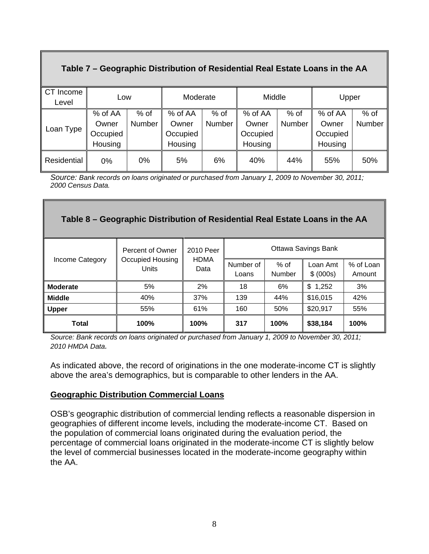### **Table 7 – Geographic Distribution of Residential Real Estate Loans in the AA**

| CT Income<br>Level | Low      |        | Moderate |        | Middle   |        | Upper    |        |
|--------------------|----------|--------|----------|--------|----------|--------|----------|--------|
|                    | % of AA  | $%$ of | % of AA  | $%$ of | % of AA  | $%$ of | % of AA  | $%$ of |
|                    | Owner    | Number | Owner    | Number | Owner    | Number | Owner    | Number |
| Loan Type          | Occupied |        | Occupied |        | Occupied |        | Occupied |        |
|                    | Housing  |        | Housing  |        | Housing  |        | Housing  |        |
| Residential        | 0%       | $0\%$  | 5%       | 6%     | 40%      | 44%    | 55%      | 50%    |

 *2000 Census Data. Source: Bank records on loans originated or purchased from January 1, 2009 to November 30, 2011;* 

### **Table 8 – Geographic Distribution of Residential Real Estate Loans in the AA**

| Income Category | Percent of Owner          | 2010 Peer           |                    |                  | Ottawa Savings Bank   |                     |
|-----------------|---------------------------|---------------------|--------------------|------------------|-----------------------|---------------------|
|                 | Occupied Housing<br>Units | <b>HDMA</b><br>Data | Number of<br>Loans | $%$ of<br>Number | Loan Amt<br>\$ (000s) | % of Loan<br>Amount |
| <b>Moderate</b> | 5%                        | 2%                  | 18                 | 6%               | \$<br>1,252           | 3%                  |
| <b>Middle</b>   | 40%                       | 37%                 | 139                | 44%              | \$16,015              | 42%                 |
| <b>Upper</b>    | 55%                       | 61%                 | 160                | 50%              | \$20,917              | 55%                 |
| Total           | 100%                      | 100%                | 317                | 100%             | \$38,184              | 100%                |

*Source: Bank records on loans originated or purchased from January 1, 2009 to November 30, 2011; 2010 HMDA Data.* 

As indicated above, the record of originations in the one moderate-income CT is slightly above the area's demographics, but is comparable to other lenders in the AA.

#### **Geographic Distribution Commercial Loans**

OSB's geographic distribution of commercial lending reflects a reasonable dispersion in geographies of different income levels, including the moderate-income CT. Based on the population of commercial loans originated during the evaluation period, the percentage of commercial loans originated in the moderate-income CT is slightly below the level of commercial businesses located in the moderate-income geography within the AA.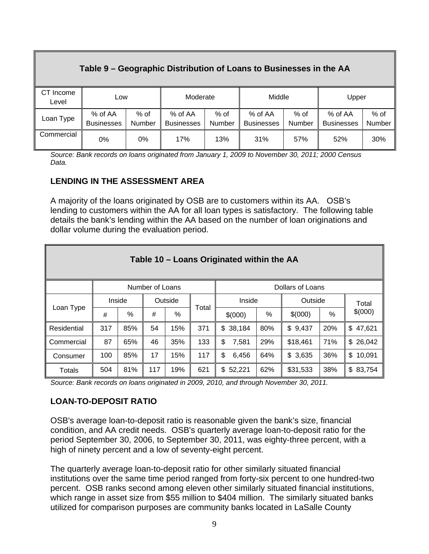#### **Table 9 – Geographic Distribution of Loans to Businesses in the AA**  CT Income moonic | Low | Moderate | Middle | Upper Loan Type  $\Big| \begin{array}{c} \% \text{ of AA} \\ \text{D} \text{ with } \text{A} \end{array} \Big|$ **Businesses** % of Number % of AA **Businesses** % of Number % of AA **Businesses** % of Number % of AA **Businesses** % of Number **Commercial** 0% 0% 17% 13% 31% 57% 52% 30%

*Source: Bank records on loans originated from January 1, 2009 to November 30, 2011; 2000 Census Data.* 

### **LENDING IN THE ASSESSMENT AREA**

A majority of the loans originated by OSB are to customers within its AA. OSB's lending to customers within the AA for all loan types is satisfactory. The following table details the bank's lending within the AA based on the number of loan originations and dollar volume during the evaluation period.

|                                     | Table 10 – Loans Originated within the AA |        |     |         |       |              |     |          |      |              |  |  |  |  |
|-------------------------------------|-------------------------------------------|--------|-----|---------|-------|--------------|-----|----------|------|--------------|--|--|--|--|
| Number of Loans<br>Dollars of Loans |                                           |        |     |         |       |              |     |          |      |              |  |  |  |  |
|                                     |                                           | Inside |     | Outside |       | Inside       |     | Outside  |      | Total        |  |  |  |  |
| Loan Type                           | #                                         | $\%$   | #   | $\%$    | Total | \$(000)      | %   | \$(000)  | $\%$ | \$(000)      |  |  |  |  |
| Residential                         | 317                                       | 85%    | 54  | 15%     | 371   | \$38,184     | 80% | \$9,437  | 20%  | \$47,621     |  |  |  |  |
| Commercial                          | 87                                        | 65%    | 46  | 35%     | 133   | \$<br>7,581  | 29% | \$18,461 | 71%  | \$26,042     |  |  |  |  |
| Consumer                            | 100                                       | 85%    | 17  | 15%     | 117   | \$<br>6,456  | 64% | \$3,635  | 36%  | \$<br>10,091 |  |  |  |  |
| Totals                              | 504                                       | 81%    | 117 | 19%     | 621   | \$<br>52,221 | 62% | \$31,533 | 38%  | \$<br>83,754 |  |  |  |  |

*Source: Bank records on loans originated in 2009, 2010, and through November 30, 2011.* 

### **LOAN-TO-DEPOSIT RATIO**

OSB's average loan-to-deposit ratio is reasonable given the bank's size, financial condition, and AA credit needs. OSB's quarterly average loan-to-deposit ratio for the period September 30, 2006, to September 30, 2011, was eighty-three percent, with a high of ninety percent and a low of seventy-eight percent.

The quarterly average loan-to-deposit ratio for other similarly situated financial institutions over the same time period ranged from forty-six percent to one hundred-two percent. OSB ranks second among eleven other similarly situated financial institutions, which range in asset size from \$55 million to \$404 million. The similarly situated banks utilized for comparison purposes are community banks located in LaSalle County